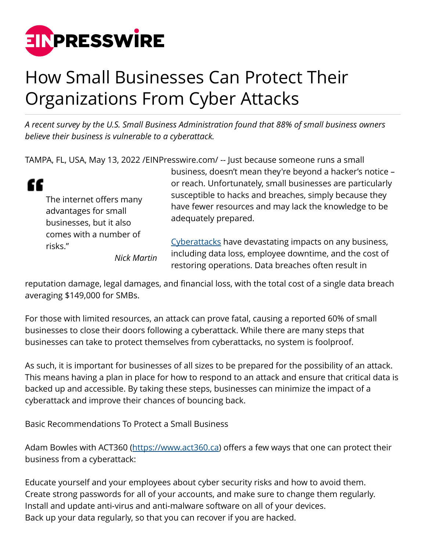

## How Small Businesses Can Protect Their Organizations From Cyber Attacks

*A recent survey by the U.S. Small Business Administration found that 88% of small business owners believe their business is vulnerable to a cyberattack.*

TAMPA, FL, USA, May 13, 2022 [/EINPresswire.com](http://www.einpresswire.com)/ -- Just because someone runs a small



The internet offers many advantages for small businesses, but it also comes with a number of risks."

business, doesn't mean they're beyond a hacker's notice – or reach. Unfortunately, small businesses are particularly susceptible to hacks and breaches, simply because they have fewer resources and may lack the knowledge to be adequately prepared.

*Nick Martin*

[Cyberattacks](https://www.generationix.com/cyberwarfare-los-angeles/) have devastating impacts on any business, including data loss, employee downtime, and the cost of restoring operations. Data breaches often result in

reputation damage, legal damages, and financial loss, with the total cost of a single data breach averaging \$149,000 for SMBs.

For those with limited resources, an attack can prove fatal, causing a reported 60% of small businesses to close their doors following a cyberattack. While there are many steps that businesses can take to protect themselves from cyberattacks, no system is foolproof.

As such, it is important for businesses of all sizes to be prepared for the possibility of an attack. This means having a plan in place for how to respond to an attack and ensure that critical data is backed up and accessible. By taking these steps, businesses can minimize the impact of a cyberattack and improve their chances of bouncing back.

Basic Recommendations To Protect a Small Business

Adam Bowles with ACT360 [\(https://www.act360.ca\)](https://www.act360.ca) offers a few ways that one can protect their business from a cyberattack:

Educate yourself and your employees about cyber security risks and how to avoid them. Create strong passwords for all of your accounts, and make sure to change them regularly. Install and update anti-virus and anti-malware software on all of your devices. Back up your data regularly, so that you can recover if you are hacked.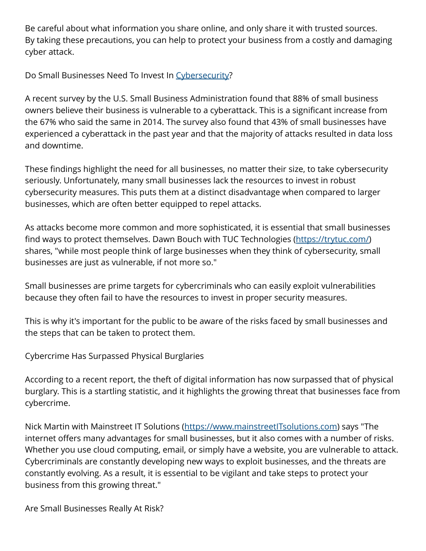Be careful about what information you share online, and only share it with trusted sources. By taking these precautions, you can help to protect your business from a costly and damaging cyber attack.

Do Small Businesses Need To Invest In [Cybersecurity](https://www.velocityit.net/business/cyber-security-services-in-dallas/)?

A recent survey by the U.S. Small Business Administration found that 88% of small business owners believe their business is vulnerable to a cyberattack. This is a significant increase from the 67% who said the same in 2014. The survey also found that 43% of small businesses have experienced a cyberattack in the past year and that the majority of attacks resulted in data loss and downtime.

These findings highlight the need for all businesses, no matter their size, to take cybersecurity seriously. Unfortunately, many small businesses lack the resources to invest in robust cybersecurity measures. This puts them at a distinct disadvantage when compared to larger businesses, which are often better equipped to repel attacks.

As attacks become more common and more sophisticated, it is essential that small businesses find ways to protect themselves. Dawn Bouch with TUC Technologies [\(https://trytuc.com/](https://trytuc.com/)) shares, "while most people think of large businesses when they think of cybersecurity, small businesses are just as vulnerable, if not more so."

Small businesses are prime targets for cybercriminals who can easily exploit vulnerabilities because they often fail to have the resources to invest in proper security measures.

This is why it's important for the public to be aware of the risks faced by small businesses and the steps that can be taken to protect them.

Cybercrime Has Surpassed Physical Burglaries

According to a recent report, the theft of digital information has now surpassed that of physical burglary. This is a startling statistic, and it highlights the growing threat that businesses face from cybercrime.

Nick Martin with Mainstreet IT Solutions [\(https://www.mainstreetITsolutions.com\)](https://www.mainstreetITsolutions.com) says "The internet offers many advantages for small businesses, but it also comes with a number of risks. Whether you use cloud computing, email, or simply have a website, you are vulnerable to attack. Cybercriminals are constantly developing new ways to exploit businesses, and the threats are constantly evolving. As a result, it is essential to be vigilant and take steps to protect your business from this growing threat."

Are Small Businesses Really At Risk?